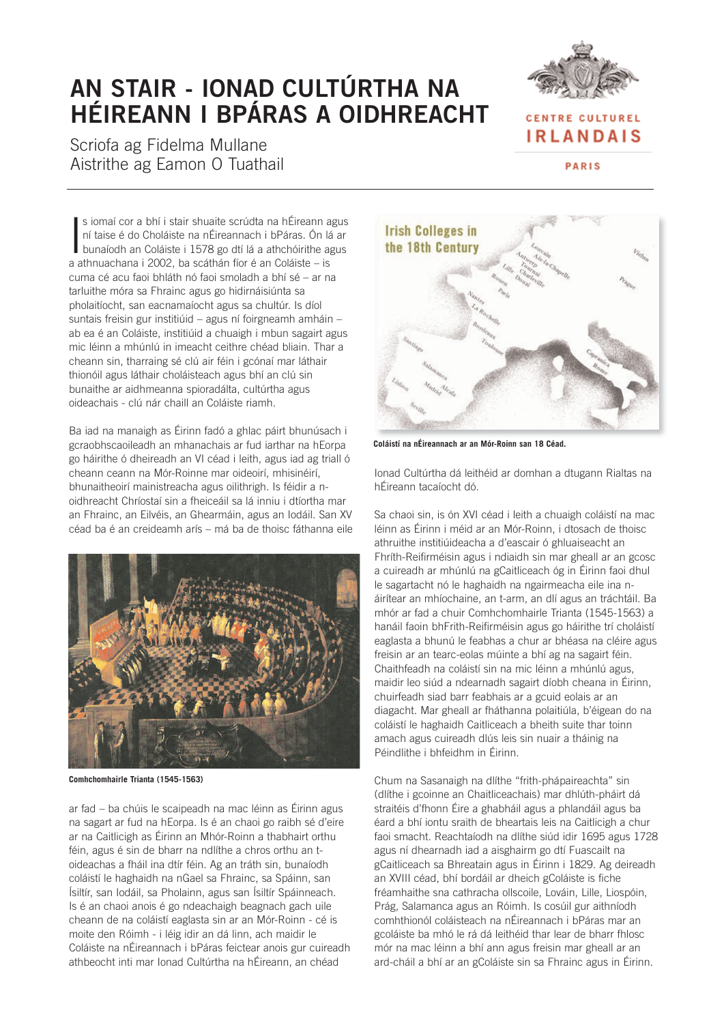# **AN STAIR - IONAD CULTÚRTHA NA HÉIREANN I BPÁRAS A OIDHREACHT**





**IRLANDAIS** 

PARIS

s iomaí cor a bhí i stair shuaite scrúdta na hÉireann agus<br>ní taise é do Choláiste na nÉireannach i bPáras. Ón lá ar<br>bunaíodh an Coláiste i 1578 go dtí lá a athchóirithe agus s iomaí cor a bhí i stair shuaite scrúdta na hÉireann agus ní taise é do Choláiste na nÉireannach i bPáras. Ón lá ar a athnuachana i 2002, ba scáthán fíor é an Coláiste – is cuma cé acu faoi bhláth nó faoi smoladh a bhí sé – ar na tarluithe móra sa Fhrainc agus go hidirnáisiúnta sa pholaitíocht, san eacnamaíocht agus sa chultúr. Is díol suntais freisin gur institiúid – agus ní foirgneamh amháin – ab ea é an Coláiste, institiúid a chuaigh i mbun sagairt agus mic léinn a mhúnlú in imeacht ceithre chéad bliain. Thar a cheann sin, tharraing sé clú air féin i gcónaí mar láthair thionóil agus láthair choláisteach agus bhí an clú sin bunaithe ar aidhmeanna spioradálta, cultúrtha agus oideachais - clú nár chaill an Coláiste riamh.

Ba iad na manaigh as Éirinn fadó a ghlac páirt bhunúsach i gcraobhscaoileadh an mhanachais ar fud iarthar na hEorpa go háirithe ó dheireadh an VI céad i leith, agus iad ag triall ó cheann ceann na Mór-Roinne mar oideoirí, mhisinéirí, bhunaitheoirí mainistreacha agus oilithrigh. Is féidir a noidhreacht Chríostaí sin a fheiceáil sa lá inniu i dtíortha mar an Fhrainc, an Eilvéis, an Ghearmáin, agus an Iodáil. San XV céad ba é an creideamh arís – má ba de thoisc fáthanna eile



**Comhchomhairle Trianta (1545-1563)**

ar fad – ba chúis le scaipeadh na mac léinn as Éirinn agus na sagart ar fud na hEorpa. Is é an chaoi go raibh sé d'eire ar na Caitlicigh as Éirinn an Mhór-Roinn a thabhairt orthu féin, agus é sin de bharr na ndlíthe a chros orthu an toideachas a fháil ina dtír féin. Ag an tráth sin, bunaíodh coláistí le haghaidh na nGael sa Fhrainc, sa Spáinn, san Ísiltír, san Iodáil, sa Pholainn, agus san Ísiltír Spáinneach. Is é an chaoi anois é go ndeachaigh beagnach gach uile cheann de na coláistí eaglasta sin ar an Mór-Roinn - cé is moite den Róimh - i léig idir an dá linn, ach maidir le Coláiste na nÉireannach i bPáras feictear anois gur cuireadh athbeocht inti mar Ionad Cultúrtha na hÉireann, an chéad



**Coláistí na nÉireannach ar an Mór-Roinn san 18 Céad.** 

Ionad Cultúrtha dá leithéid ar domhan a dtugann Rialtas na hÉireann tacaíocht dó.

Sa chaoi sin, is ón XVI céad i leith a chuaigh coláistí na mac léinn as Éirinn i méid ar an Mór-Roinn, i dtosach de thoisc athruithe institiúideacha a d'eascair ó ghluaiseacht an Fhríth-Reifirméisin agus i ndiaidh sin mar gheall ar an gcosc a cuireadh ar mhúnlú na gCaitliceach óg in Éirinn faoi dhul le sagartacht nó le haghaidh na ngairmeacha eile ina náirítear an mhíochaine, an t-arm, an dlí agus an tráchtáil. Ba mhór ar fad a chuir Comhchomhairle Trianta (1545-1563) a hanáil faoin bhFrith-Reifirméisin agus go háirithe trí choláistí eaglasta a bhunú le feabhas a chur ar bhéasa na cléire agus freisin ar an tearc-eolas múinte a bhí ag na sagairt féin. Chaithfeadh na coláistí sin na mic léinn a mhúnlú agus, maidir leo siúd a ndearnadh sagairt díobh cheana in Éirinn, chuirfeadh siad barr feabhais ar a gcuid eolais ar an diagacht. Mar gheall ar fháthanna polaitiúla, b'éigean do na coláistí le haghaidh Caitliceach a bheith suite thar toinn amach agus cuireadh dlús leis sin nuair a tháinig na Péindlithe i bhfeidhm in Éirinn.

Chum na Sasanaigh na dlíthe "frith-phápaireachta" sin (dlíthe i gcoinne an Chaitliceachais) mar dhlúth-pháirt dá straitéis d'fhonn Éire a ghabháil agus a phlandáil agus ba éard a bhí iontu sraith de bheartais leis na Caitlicigh a chur faoi smacht. Reachtaíodh na dlíthe siúd idir 1695 agus 1728 agus ní dhearnadh iad a aisghairm go dtí Fuascailt na gCaitliceach sa Bhreatain agus in Éirinn i 1829. Ag deireadh an XVIII céad, bhí bordáil ar dheich gColáiste is fiche fréamhaithe sna cathracha ollscoile, Lováin, Lille, Liospóin, Prág, Salamanca agus an Róimh. Is cosúil gur aithníodh comhthionól coláisteach na nÉireannach i bPáras mar an gcoláiste ba mhó le rá dá leithéid thar lear de bharr fhlosc mór na mac léinn a bhí ann agus freisin mar gheall ar an ard-cháil a bhí ar an gColáiste sin sa Fhrainc agus in Éirinn.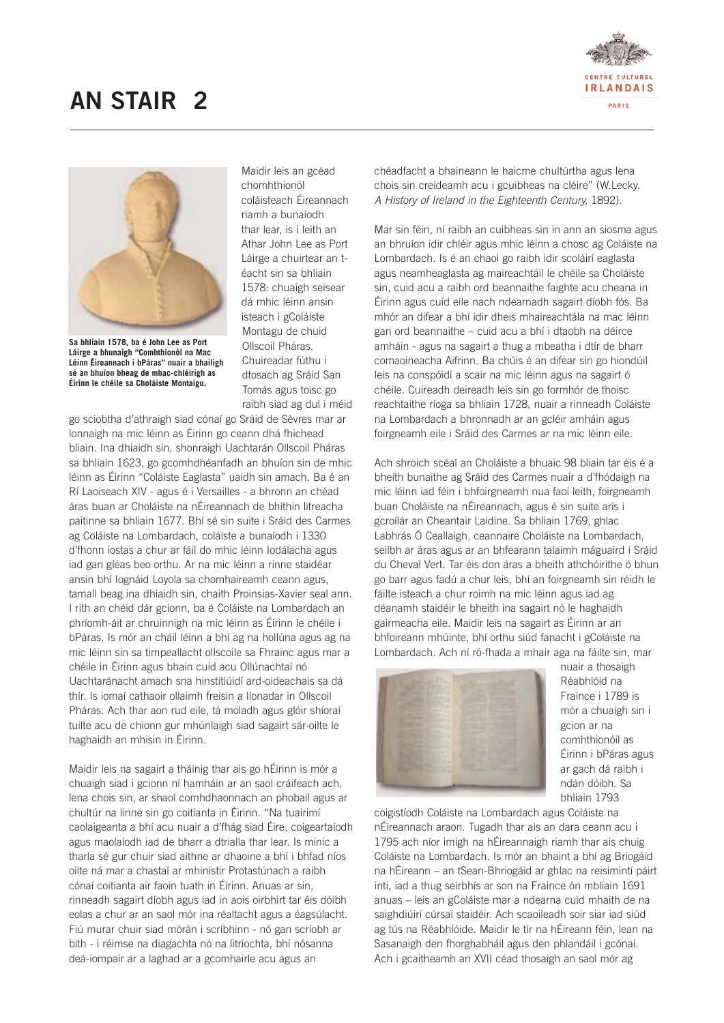



**Sa bhliain 1578, ba é John Lee as Port Láirge a bhunaigh "Comhthionól na Mac Léinn Éireannach i bPáras" nuair a bhailigh sé an bhuíon bheag de mhac-chléirigh as Éirinn le chéile sa Choláiste Montaigu.**

Maidir leis an gcéad chomhthionól coláisteach Éireannach riamh a bunaíodh thar lear, is i leith an Athar John Lee as Port Láirge a chuirtear an téacht sin sa bhliain 1578: chuaigh seisear dá mhic léinn ansin isteach i gColáiste Montagu de chuid Ollscoil Pháras. Chuireadar fúthu i dtosach ag Sráid San Tomás agus toisc go raibh siad ag dul i méid

go sciobtha d'athraigh siad cónaí go Sráid de Sèvres mar ar lonnaigh na mic léinn as Éirinn go ceann dhá fhichead bliain. Ina dhiaidh sin, shonraigh Uachtarán Ollscoil Pháras sa bhliain 1623, go gcomhdhéanfadh an bhuíon sin de mhic léinn as Éirinn "Coláiste Eaglasta" uaidh sin amach. Ba é an Rí Laoiseach XIV - agus é i Versailles - a bhronn an chéad áras buan ar Choláiste na nÉireannach de bhíthin litreacha paitinne sa bhliain 1677. Bhí sé sin suite i Sráid des Carmes ag Coláiste na Lombardach, coláiste a bunaíodh i 1330 d'fhonn iostas a chur ar fáil do mhic léinn Iodálacha agus iad gan gléas beo orthu. Ar na mic léinn a rinne staidéar ansin bhí Iognáid Loyola sa chomhaireamh ceann agus, tamall beag ina dhiaidh sin, chaith Proinsias-Xavier seal ann. I rith an chéid dár gcionn, ba é Coláiste na Lombardach an phríomh-áit ar chruinnigh na mic léinn as Éirinn le chéile i bPáras. Is mór an cháil léinn a bhí ag na hollúna agus ag na mic léinn sin sa timpeallacht ollscoile sa Fhrainc agus mar a chéile in Éirinn agus bhain cuid acu Ollúnachtaí nó Uachtaránacht amach sna hinstitiúidí ard-oideachais sa dá thír. Is iomaí cathaoir ollaimh freisin a líonadar in Ollscoil Pháras. Ach thar aon rud eile, tá moladh agus glóir shíoraí tuilte acu de chionn gur mhúnlaigh siad sagairt sár-oilte le haghaidh an mhisin in Éirinn.

Maidir leis na sagairt a tháinig thar ais go hÉirinn is mór a chuaigh siad i gcionn ní hamháin ar an saol cráifeach ach, lena chois sin, ar shaol comhdhaonnach an phobail agus ar chultúr na linne sin go coitianta in Éirinn. "Na tuairimí caolaigeanta a bhí acu nuair a d'fhág siad Éire, coigeartaíodh agus maolaíodh iad de bharr a dtrialla thar lear. Is minic a tharla sé gur chuir siad aithne ar dhaoine a bhí i bhfad níos oilte ná mar a chastaí ar mhinistir Protastúnach a raibh cónaí coitianta air faoin tuath in Éirinn. Anuas ar sin, rinneadh sagairt díobh agus iad in aois oirbhirt tar éis dóibh eolas a chur ar an saol mór ina réaltacht agus a éagsúlacht. Fiú murar chuir siad mórán i scríbhinn - nó gan scríobh ar bith - i réimse na diagachta nó na litríochta, bhí nósanna deá-iompair ar a laghad ar a gcomhairle acu agus an

chéadfacht a bhaineann le haicme chultúrtha agus lena chois sin creideamh acu i gcuibheas na cléire" (W.Lecky. A History of Ireland in the Eighteenth Century, 1892).

Mar sin féin, ní raibh an cuibheas sin in ann an siosma agus an bhruíon idir chléir agus mhic léinn a chosc ag Coláiste na Lombardach. Is é an chaoi go raibh idir scoláirí eaglasta agus neamheaglasta ag maireachtáil le chéile sa Choláiste sin, cuid acu a raibh ord beannaithe faighte acu cheana in Éirinn agus cuid eile nach ndearnadh sagairt díobh fós. Ba mhór an difear a bhí idir dheis mhaireachtála na mac léinn gan ord beannaithe – cuid acu a bhí i dtaobh na déirce amháin - agus na sagairt a thug a mbeatha i dtír de bharr comaoineacha Aifrinn. Ba chúis é an difear sin go hiondúil leis na conspóidí a scair na mic léinn agus na sagairt ó chéile. Cuireadh deireadh leis sin go formhór de thoisc reachtaithe ríoga sa bhliain 1728, nuair a rinneadh Coláiste na Lombardach a bhronnadh ar an gcléir amháin agus foirgneamh eile i Sráid des Carmes ar na mic léinn eile.

Ach shroich scéal an Choláiste a bhuaic 98 bliain tar éis é a bheith bunaithe ag Sráid des Carmes nuair a d'fhódaigh na mic léinn iad féin i bhfoirgneamh nua faoi leith, foirgneamh buan Choláiste na nÉireannach, agus é sin suite arís i gcroílár an Cheantair Laidine. Sa bhliain 1769, ghlac Labhrás Ó Ceallaigh, ceannaire Choláiste na Lombardach, seilbh ar áras agus ar an bhfearann talaimh máguaird i Sráid du Cheval Vert. Tar éis don áras a bheith athchóirithe ó bhun go barr agus fadú a chur leis, bhí an foirgneamh sin réidh le fáilte isteach a chur roimh na mic léinn agus iad ag déanamh staidéir le bheith ina sagairt nó le haghaidh gairmeacha eile. Maidir leis na sagairt as Éirinn ar an bhfoireann mhúinte, bhí orthu siúd fanacht i gColáiste na Lombardach. Ach ní ró-fhada a mhair aga na fáilte sin, mar



nuair a thosaigh Réabhlóid na Fraince i 1789 is mór a chuaigh sin i gcion ar na comhthionóil as Éirinn i bPáras agus ar gach dá raibh i ndán dóibh. Sa bhliain 1793

coigistíodh Coláiste na Lombardach agus Coláiste na nÉireannach araon. Tugadh thar ais an dara ceann acu i 1795 ach níor imigh na hÉireannaigh riamh thar ais chuig Coláiste na Lombardach. Is mór an bhaint a bhí ag Briogáid na hÉireann – an tSean-Bhriogáid ar ghlac na reisimintí páirt inti, iad a thug seirbhís ar son na Fraince ón mbliain 1691 anuas – leis an gColáiste mar a ndearna cuid mhaith de na saighdiúirí cúrsaí staidéir. Ach scaoileadh soir siar iad siúd ag tús na Réabhlóide. Maidir le tír na hÉireann féin, lean na Sasanaigh den fhorghabháil agus den phlandáil i gcónaí. Ach i gcaitheamh an XVII céad thosaigh an saol mór ag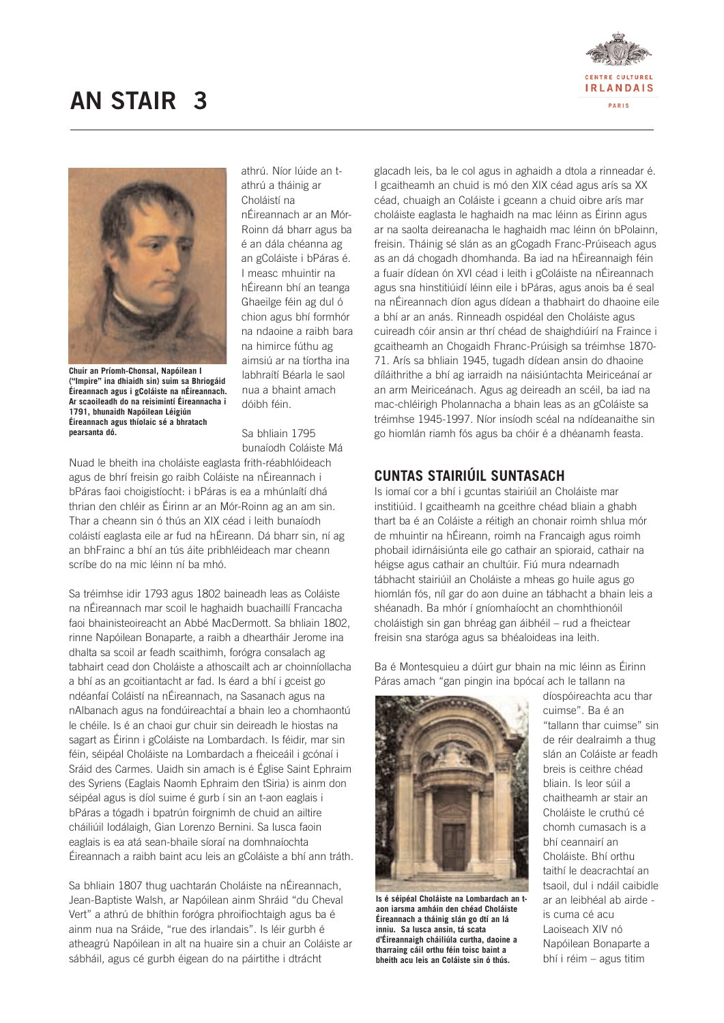



**Chuir an Príomh-Chonsal, Napóilean I ("Impire" ina dhiaidh sin) suim sa Bhriogáid Éireannach agus i gColáiste na nÉireannach. Ar scaoileadh do na reisimintí Éireannacha i 1791, bhunaidh Napóilean Léigiún Éireannach agus thíolaic sé a bhratach pearsanta dó.**

athrú. Níor lúide an tathrú a tháinig ar Choláistí na nÉireannach ar an Mór-Roinn dá bharr agus ba é an dála chéanna ag an gColáiste i bPáras é. I measc mhuintir na hÉireann bhí an teanga Ghaeilge féin ag dul ó chion agus bhí formhór na ndaoine a raibh bara na himirce fúthu ag aimsiú ar na tíortha ina labhraítí Béarla le saol nua a bhaint amach dóibh féin.

Sa bhliain 1795 bunaíodh Coláiste Má

Nuad le bheith ina choláiste eaglasta frith-réabhlóideach agus de bhrí freisin go raibh Coláiste na nÉireannach i bPáras faoi choigistíocht: i bPáras is ea a mhúnlaítí dhá thrian den chléir as Éirinn ar an Mór-Roinn ag an am sin. Thar a cheann sin ó thús an XIX céad i leith bunaíodh coláistí eaglasta eile ar fud na hÉireann. Dá bharr sin, ní ag an bhFrainc a bhí an tús áite pribhléideach mar cheann scríbe do na mic léinn ní ba mhó.

Sa tréimhse idir 1793 agus 1802 baineadh leas as Coláiste na nÉireannach mar scoil le haghaidh buachaillí Francacha faoi bhainisteoireacht an Abbé MacDermott. Sa bhliain 1802, rinne Napóilean Bonaparte, a raibh a dheartháir Jerome ina dhalta sa scoil ar feadh scaithimh, forógra consalach ag tabhairt cead don Choláiste a athoscailt ach ar choinníollacha a bhí as an gcoitiantacht ar fad. Is éard a bhí i gceist go ndéanfaí Coláistí na nÉireannach, na Sasanach agus na nAlbanach agus na fondúireachtaí a bhain leo a chomhaontú le chéile. Is é an chaoi gur chuir sin deireadh le hiostas na sagart as Éirinn i gColáiste na Lombardach. Is féidir, mar sin féin, séipéal Choláiste na Lombardach a fheiceáil i gcónaí i Sráid des Carmes. Uaidh sin amach is é Église Saint Ephraim des Syriens (Eaglais Naomh Ephraim den tSiria) is ainm don séipéal agus is díol suime é gurb í sin an t-aon eaglais i bPáras a tógadh i bpatrún foirgnimh de chuid an ailtire cháiliúil Iodálaigh, Gian Lorenzo Bernini. Sa lusca faoin eaglais is ea atá sean-bhaile síoraí na domhnaíochta Éireannach a raibh baint acu leis an gColáiste a bhí ann tráth.

Sa bhliain 1807 thug uachtarán Choláiste na nÉireannach, Jean-Baptiste Walsh, ar Napóilean ainm Shráid "du Cheval Vert" a athrú de bhíthin forógra phroifiochtaigh agus ba é ainm nua na Sráide, "rue des irlandais". Is léir gurbh é atheagrú Napóilean in alt na huaire sin a chuir an Coláiste ar sábháil, agus cé gurbh éigean do na páirtithe i dtrácht

glacadh leis, ba le col agus in aghaidh a dtola a rinneadar é. I gcaitheamh an chuid is mó den XIX céad agus arís sa XX céad, chuaigh an Coláiste i gceann a chuid oibre arís mar choláiste eaglasta le haghaidh na mac léinn as Éirinn agus ar na saolta deireanacha le haghaidh mac léinn ón bPolainn, freisin. Tháinig sé slán as an gCogadh Franc-Prúiseach agus as an dá chogadh dhomhanda. Ba iad na hÉireannaigh féin a fuair dídean ón XVI céad i leith i gColáiste na nÉireannach agus sna hinstitiúidí léinn eile i bPáras, agus anois ba é seal na nÉireannach díon agus dídean a thabhairt do dhaoine eile a bhí ar an anás. Rinneadh ospidéal den Choláiste agus cuireadh cóir ansin ar thrí chéad de shaighdiúirí na Fraince i gcaitheamh an Chogaidh Fhranc-Prúisigh sa tréimhse 1870- 71. Arís sa bhliain 1945, tugadh dídean ansin do dhaoine díláithrithe a bhí ag iarraidh na náisiúntachta Meiriceánaí ar an arm Meiriceánach. Agus ag deireadh an scéil, ba iad na mac-chléirigh Pholannacha a bhain leas as an gColáiste sa tréimhse 1945-1997. Níor insíodh scéal na ndídeanaithe sin go hiomlán riamh fós agus ba chóir é a dhéanamh feasta.

### **CUNTAS STAIRIÚIL SUNTASACH**

Is iomaí cor a bhí i gcuntas stairiúil an Choláiste mar institiúid. I gcaitheamh na gceithre chéad bliain a ghabh thart ba é an Coláiste a réitigh an chonair roimh shlua mór de mhuintir na hÉireann, roimh na Francaigh agus roimh phobail idirnáisiúnta eile go cathair an spioraid, cathair na héigse agus cathair an chultúir. Fiú mura ndearnadh tábhacht stairiúil an Choláiste a mheas go huile agus go hiomlán fós, níl gar do aon duine an tábhacht a bhain leis a shéanadh. Ba mhór í gníomhaíocht an chomhthionóil choláistigh sin gan bhréag gan áibhéil – rud a fheictear freisin sna staróga agus sa bhéaloideas ina leith.

Ba é Montesquieu a dúirt gur bhain na mic léinn as Éirinn Páras amach "gan pingin ina bpócaí ach le tallann na



**Is é séipéal Choláiste na Lombardach an taon iarsma amháin den chéad Choláiste Éireannach a tháinig slán go dtí an lá inniu. Sa lusca ansin, tá scata d'Éireannaigh cháiliúla curtha, daoine a tharraing cáil orthu féin toisc baint a bheith acu leis an Coláiste sin ó thús.** 

díospóireachta acu thar cuimse". Ba é an "tallann thar cuimse" sin de réir dealraimh a thug slán an Coláiste ar feadh breis is ceithre chéad bliain. Is leor súil a chaitheamh ar stair an Choláiste le cruthú cé chomh cumasach is a bhí ceannairí an Choláiste. Bhí orthu taithí le deacrachtaí an tsaoil, dul i ndáil caibidle ar an leibhéal ab airde is cuma cé acu Laoiseach XIV nó Napóilean Bonaparte a bhí i réim – agus titim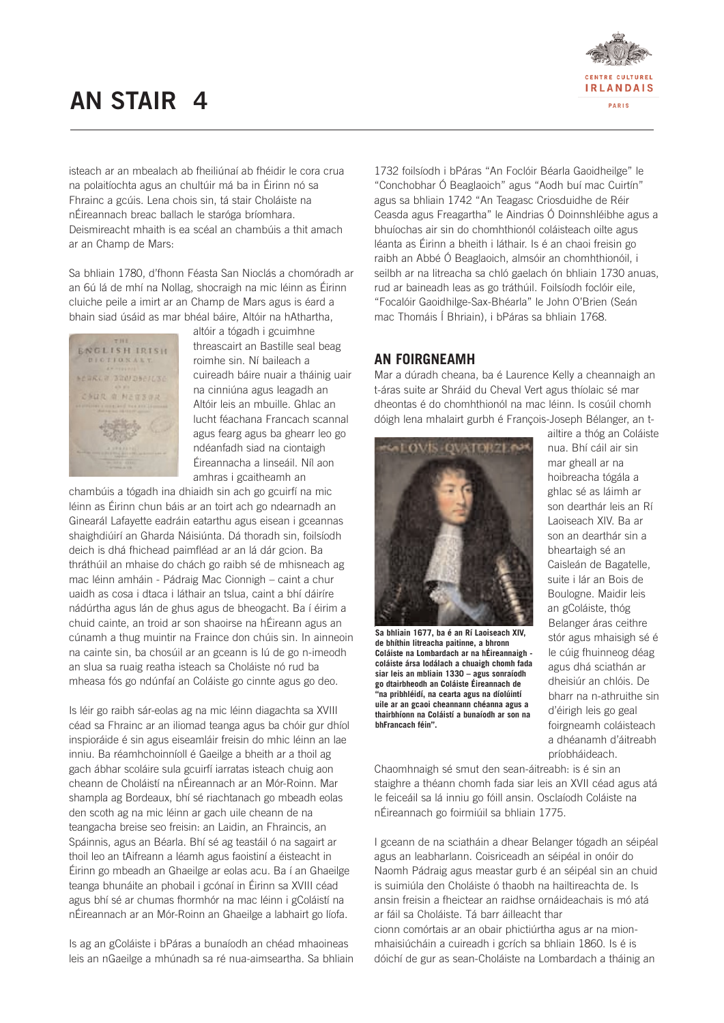## **AN STAIR 4**



isteach ar an mbealach ab fheiliúnaí ab fhéidir le cora crua na polaitíochta agus an chultúir má ba in Éirinn nó sa Fhrainc a gcúis. Lena chois sin, tá stair Choláiste na nÉireannach breac ballach le staróga bríomhara. Deismireacht mhaith is ea scéal an chambúis a thit amach ar an Champ de Mars:

Sa bhliain 1780, d'fhonn Féasta San Nioclás a chomóradh ar an 6ú lá de mhí na Nollag, shocraigh na mic léinn as Éirinn cluiche peile a imirt ar an Champ de Mars agus is éard a bhain siad úsáid as mar bhéal báire, Altóir na hAthartha,



altóir a tógadh i gcuimhne threascairt an Bastille seal beag roimhe sin. Ní baileach a cuireadh báire nuair a tháinig uair na cinniúna agus leagadh an Altóir leis an mbuille. Ghlac an lucht féachana Francach scannal agus fearg agus ba ghearr leo go ndéanfadh siad na ciontaigh Éireannacha a linseáil. Níl aon amhras i gcaitheamh an

chambúis a tógadh ina dhiaidh sin ach go gcuirfí na mic léinn as Éirinn chun báis ar an toirt ach go ndearnadh an Ginearál Lafayette eadráin eatarthu agus eisean i gceannas shaighdiúirí an Gharda Náisiúnta. Dá thoradh sin, foilsíodh deich is dhá fhichead paimfléad ar an lá dár gcion. Ba thráthúil an mhaise do chách go raibh sé de mhisneach ag mac léinn amháin - Pádraig Mac Cionnigh – caint a chur uaidh as cosa i dtaca i láthair an tslua, caint a bhí dáiríre nádúrtha agus lán de ghus agus de bheogacht. Ba í éirim a chuid cainte, an troid ar son shaoirse na hÉireann agus an cúnamh a thug muintir na Fraince don chúis sin. In ainneoin na cainte sin, ba chosúil ar an gceann is lú de go n-imeodh an slua sa ruaig reatha isteach sa Choláiste nó rud ba mheasa fós go ndúnfaí an Coláiste go cinnte agus go deo.

Is léir go raibh sár-eolas ag na mic léinn diagachta sa XVIII céad sa Fhrainc ar an iliomad teanga agus ba chóir gur dhíol inspioráide é sin agus eiseamláir freisin do mhic léinn an lae inniu. Ba réamhchoinníoll é Gaeilge a bheith ar a thoil ag gach ábhar scoláire sula gcuirfí iarratas isteach chuig aon cheann de Choláistí na nÉireannach ar an Mór-Roinn. Mar shampla ag Bordeaux, bhí sé riachtanach go mbeadh eolas den scoth ag na mic léinn ar gach uile cheann de na teangacha breise seo freisin: an Laidin, an Fhraincis, an Spáinnis, agus an Béarla. Bhí sé ag teastáil ó na sagairt ar thoil leo an tAifreann a léamh agus faoistiní a éisteacht in Éirinn go mbeadh an Ghaeilge ar eolas acu. Ba í an Ghaeilge teanga bhunáite an phobail i gcónaí in Éirinn sa XVIII céad agus bhí sé ar chumas fhormhór na mac léinn i gColáistí na nÉireannach ar an Mór-Roinn an Ghaeilge a labhairt go líofa.

Is ag an gColáiste i bPáras a bunaíodh an chéad mhaoineas leis an nGaeilge a mhúnadh sa ré nua-aimseartha. Sa bhliain 1732 foilsíodh i bPáras "An Foclóir Béarla Gaoidheilge" le "Conchobhar Ó Beaglaoich" agus "Aodh buí mac Cuirtín" agus sa bhliain 1742 "An Teagasc Criosduidhe de Réir Ceasda agus Freagartha" le Aindrias Ó Doinnshléibhe agus a bhuíochas air sin do chomhthionól coláisteach oilte agus léanta as Éirinn a bheith i láthair. Is é an chaoi freisin go raibh an Abbé Ó Beaglaoich, almsóir an chomhthionóil, i seilbh ar na litreacha sa chló gaelach ón bhliain 1730 anuas, rud ar baineadh leas as go tráthúil. Foilsíodh foclóir eile, "Focalóir Gaoidhilge-Sax-Bhéarla" le John O'Brien (Seán mac Thomáis Í Bhriain), i bPáras sa bhliain 1768.

#### **AN FOIRGNEAMH**

Mar a dúradh cheana, ba é Laurence Kelly a cheannaigh an t-áras suite ar Shráid du Cheval Vert agus thíolaic sé mar dheontas é do chomhthionól na mac léinn. Is cosúil chomh dóigh lena mhalairt gurbh é François-Joseph Bélanger, an t-



**Sa bhliain 1677, ba é an Rí Laoiseach XIV, de bhíthin litreacha paitinne, a bhronn Coláiste na Lombardach ar na hÉireannaigh coláiste ársa Iodálach a chuaigh chomh fada siar leis an mbliain 1330 – agus sonraíodh go dtairbheodh an Coláiste Éireannach de "na pribhléidí, na cearta agus na díolúintí uile ar an gcaoi cheannann chéanna agus a thairbhíonn na Coláistí a bunaíodh ar son na bhFrancach féin".** 

ailtire a thóg an Coláiste nua. Bhí cáil air sin mar gheall ar na hoibreacha tógála a ghlac sé as láimh ar son dearthár leis an Rí Laoiseach XIV. Ba ar son an dearthár sin a bheartaigh sé an Caisleán de Bagatelle, suite i lár an Bois de Boulogne. Maidir leis an gColáiste, thóg Belanger áras ceithre stór agus mhaisigh sé é le cúig fhuinneog déag agus dhá sciathán ar dheisiúr an chlóis. De bharr na n-athruithe sin d'éirigh leis go geal foirgneamh coláisteach a dhéanamh d'áitreabh príobháideach.

Chaomhnaigh sé smut den sean-áitreabh: is é sin an staighre a théann chomh fada siar leis an XVII céad agus atá le feiceáil sa lá inniu go fóill ansin. Osclaíodh Coláiste na nÉireannach go foirmiúil sa bhliain 1775.

I gceann de na sciatháin a dhear Belanger tógadh an séipéal agus an leabharlann. Coisriceadh an séipéal in onóir do Naomh Pádraig agus meastar gurb é an séipéal sin an chuid is suimiúla den Choláiste ó thaobh na hailtireachta de. Is ansin freisin a fheictear an raidhse ornáideachais is mó atá ar fáil sa Choláiste. Tá barr áilleacht thar cionn comórtais ar an obair phictiúrtha agus ar na mionmhaisiúcháin a cuireadh i gcrích sa bhliain 1860. Is é is dóichí de gur as sean-Choláiste na Lombardach a tháinig an